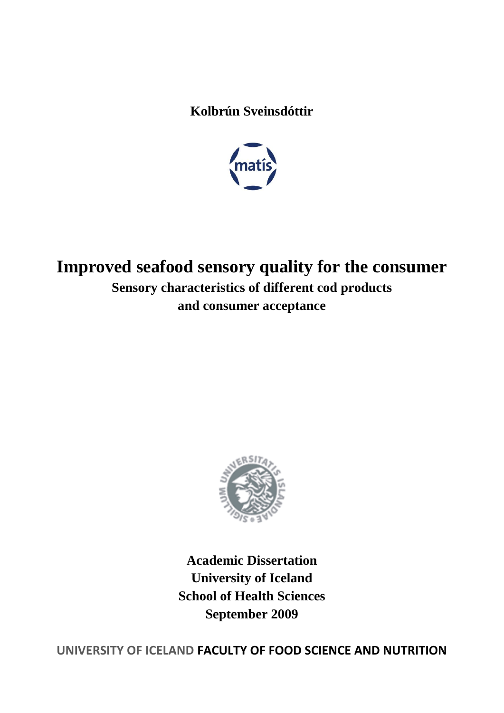**Kolbrún Sveinsdóttir**



# **Improved seafood sensory quality for the consumer Sensory characteristics of different cod products and consumer acceptance**



**Academic Dissertation University of Iceland School of Health Sciences September 2009**

**UNIVERSITY OF ICELAND FACULTY OF FOOD SCIENCE AND NUTRITION**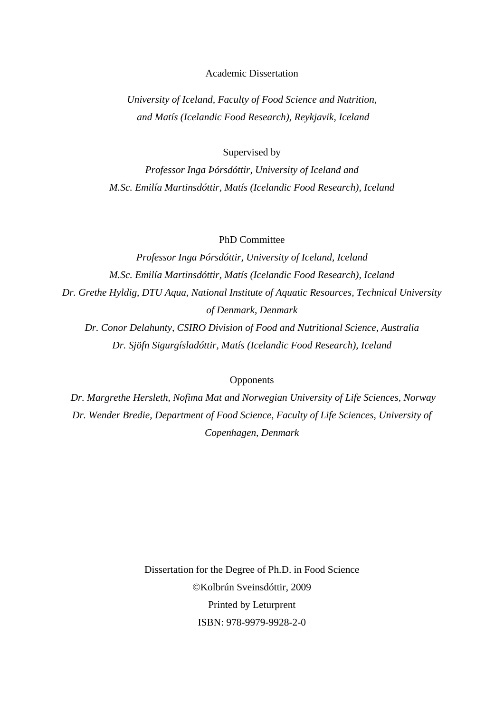#### Academic Dissertation

*University of Iceland, Faculty of Food Science and Nutrition, and Matís (Icelandic Food Research), Reykjavik, Iceland*

Supervised by

*Professor Inga Þórsdóttir, University of Iceland and M.Sc. Emilía Martinsdóttir, Matís (Icelandic Food Research), Iceland*

PhD Committee

*Professor Inga Þórsdóttir, University of Iceland, Iceland M.Sc. Emilía Martinsdóttir, Matís (Icelandic Food Research), Iceland Dr. Grethe Hyldig, DTU Aqua, National Institute of Aquatic Resources, Technical University of Denmark, Denmark*

*Dr. Conor Delahunty, CSIRO Division of Food and Nutritional Science, Australia Dr. Sjöfn Sigurgísladóttir, Matís (Icelandic Food Research), Iceland*

#### **Opponents**

*Dr. Margrethe Hersleth, Nofima Mat and Norwegian University of Life Sciences, Norway Dr. Wender Bredie, Department of Food Science, Faculty of Life Sciences, University of Copenhagen, Denmark*

> Dissertation for the Degree of Ph.D. in Food Science ©Kolbrún Sveinsdóttir, 2009 Printed by Leturprent ISBN: 978-9979-9928-2-0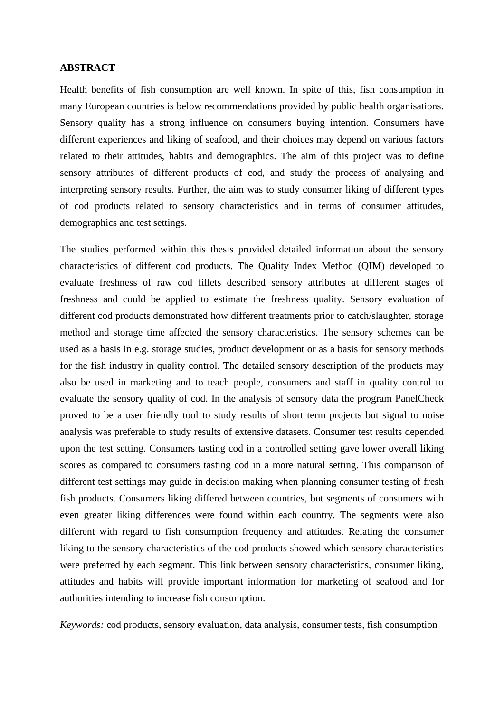### **ABSTRACT**

Health benefits of fish consumption are well known. In spite of this, fish consumption in many European countries is below recommendations provided by public health organisations. Sensory quality has a strong influence on consumers buying intention. Consumers have different experiences and liking of seafood, and their choices may depend on various factors related to their attitudes, habits and demographics. The aim of this project was to define sensory attributes of different products of cod, and study the process of analysing and interpreting sensory results. Further, the aim was to study consumer liking of different types of cod products related to sensory characteristics and in terms of consumer attitudes, demographics and test settings.

The studies performed within this thesis provided detailed information about the sensory characteristics of different cod products. The Quality Index Method (QIM) developed to evaluate freshness of raw cod fillets described sensory attributes at different stages of freshness and could be applied to estimate the freshness quality. Sensory evaluation of different cod products demonstrated how different treatments prior to catch/slaughter, storage method and storage time affected the sensory characteristics. The sensory schemes can be used as a basis in e.g. storage studies, product development or as a basis for sensory methods for the fish industry in quality control. The detailed sensory description of the products may also be used in marketing and to teach people, consumers and staff in quality control to evaluate the sensory quality of cod. In the analysis of sensory data the program PanelCheck proved to be a user friendly tool to study results of short term projects but signal to noise analysis was preferable to study results of extensive datasets. Consumer test results depended upon the test setting. Consumers tasting cod in a controlled setting gave lower overall liking scores as compared to consumers tasting cod in a more natural setting. This comparison of different test settings may guide in decision making when planning consumer testing of fresh fish products. Consumers liking differed between countries, but segments of consumers with even greater liking differences were found within each country. The segments were also different with regard to fish consumption frequency and attitudes. Relating the consumer liking to the sensory characteristics of the cod products showed which sensory characteristics were preferred by each segment. This link between sensory characteristics, consumer liking, attitudes and habits will provide important information for marketing of seafood and for authorities intending to increase fish consumption.

*Keywords:* cod products, sensory evaluation, data analysis, consumer tests, fish consumption